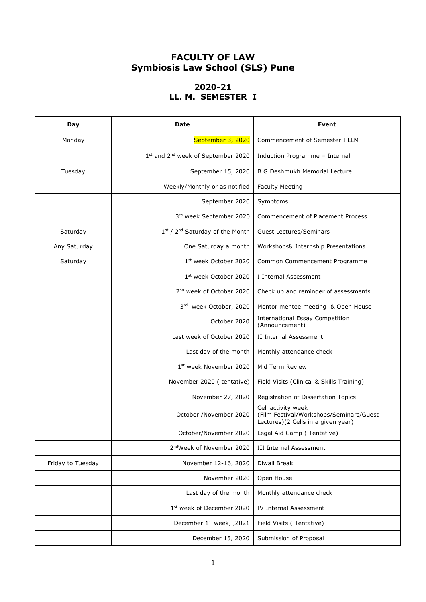## **FACULTY OF LAW Symbiosis Law School (SLS) Pune**

### **2020-21 LL. M. SEMESTER I**

| Day               | Date                                           | Event                                                                                               |  |
|-------------------|------------------------------------------------|-----------------------------------------------------------------------------------------------------|--|
| Monday            | September 3, 2020                              | Commencement of Semester I LLM                                                                      |  |
|                   | 1st and 2 <sup>nd</sup> week of September 2020 | Induction Programme - Internal                                                                      |  |
| Tuesday           | September 15, 2020                             | <b>B G Deshmukh Memorial Lecture</b>                                                                |  |
|                   | Weekly/Monthly or as notified                  | <b>Faculty Meeting</b>                                                                              |  |
|                   | September 2020                                 | Symptoms                                                                                            |  |
|                   | 3rd week September 2020                        | <b>Commencement of Placement Process</b>                                                            |  |
| Saturday          | 1st / 2 <sup>nd</sup> Saturday of the Month    | <b>Guest Lectures/Seminars</b>                                                                      |  |
| Any Saturday      | One Saturday a month                           | Workshops& Internship Presentations                                                                 |  |
| Saturday          | 1st week October 2020                          | Common Commencement Programme                                                                       |  |
|                   | 1st week October 2020                          | I Internal Assessment                                                                               |  |
|                   | 2 <sup>nd</sup> week of October 2020           | Check up and reminder of assessments                                                                |  |
|                   | 3rd week October, 2020                         | Mentor mentee meeting & Open House                                                                  |  |
|                   | October 2020                                   | <b>International Essay Competition</b><br>(Announcement)                                            |  |
|                   | Last week of October 2020                      | II Internal Assessment                                                                              |  |
|                   | Last day of the month                          | Monthly attendance check                                                                            |  |
|                   | 1st week November 2020                         | Mid Term Review                                                                                     |  |
|                   | November 2020 (tentative)                      | Field Visits (Clinical & Skills Training)                                                           |  |
|                   | November 27, 2020                              | Registration of Dissertation Topics                                                                 |  |
|                   | October /November 2020                         | Cell activity week<br>(Film Festival/Workshops/Seminars/Guest<br>Lectures)(2 Cells in a given year) |  |
|                   | October/November 2020                          | Legal Aid Camp (Tentative)                                                                          |  |
|                   | 2 <sup>nd</sup> Week of November 2020          | <b>III Internal Assessment</b>                                                                      |  |
| Friday to Tuesday | November 12-16, 2020                           | Diwali Break                                                                                        |  |
|                   | November 2020                                  | Open House                                                                                          |  |
|                   | Last day of the month                          | Monthly attendance check                                                                            |  |
|                   | 1st week of December 2020                      | <b>IV Internal Assessment</b>                                                                       |  |
|                   | December 1 <sup>st</sup> week, ,2021           | Field Visits (Tentative)                                                                            |  |
|                   | December 15, 2020                              | Submission of Proposal                                                                              |  |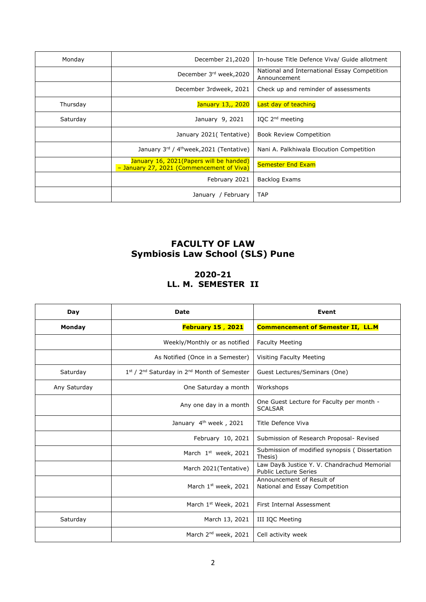| Monday   | December 21,2020<br>In-house Title Defence Viva/ Guide allotment                     |                                                              |  |
|----------|--------------------------------------------------------------------------------------|--------------------------------------------------------------|--|
|          | December 3rd week, 2020                                                              | National and International Essay Competition<br>Announcement |  |
|          | December 3rdweek, 2021                                                               | Check up and reminder of assessments                         |  |
| Thursday | Last day of teaching<br>January 13,, 2020                                            |                                                              |  |
| Saturday | IQC $2^{nd}$ meeting<br>January 9, 2021                                              |                                                              |  |
|          | January 2021 (Tentative)                                                             | <b>Book Review Competition</b>                               |  |
|          | January 3rd / 4 <sup>th</sup> week, 2021 (Tentative)                                 | Nani A. Palkhiwala Elocution Competition                     |  |
|          | January 16, 2021(Papers will be handed)<br>- January 27, 2021 (Commencement of Viva) | <b>Semester End Exam</b>                                     |  |
|          | February 2021                                                                        | Backlog Exams                                                |  |
|          | January / February                                                                   | <b>TAP</b>                                                   |  |

# **FACULTY OF LAW Symbiosis Law School (SLS) Pune**

### **2020-21 LL. M. SEMESTER II**

| Day          | <b>Date</b>                                                         | Event                                                                       |  |
|--------------|---------------------------------------------------------------------|-----------------------------------------------------------------------------|--|
| Monday       | <b>February 15, 2021</b>                                            | <b>Commencement of Semester II, LL.M</b>                                    |  |
|              | Weekly/Monthly or as notified                                       | <b>Faculty Meeting</b>                                                      |  |
|              | As Notified (Once in a Semester)                                    | Visiting Faculty Meeting                                                    |  |
| Saturday     | 1st / 2 <sup>nd</sup> Saturday in 2 <sup>nd</sup> Month of Semester | Guest Lectures/Seminars (One)                                               |  |
| Any Saturday | One Saturday a month                                                | Workshops                                                                   |  |
|              | Any one day in a month                                              | One Guest Lecture for Faculty per month -<br><b>SCALSAR</b>                 |  |
|              | January 4 <sup>th</sup> week, 2021                                  | Title Defence Viva                                                          |  |
|              | February 10, 2021                                                   | Submission of Research Proposal- Revised                                    |  |
|              | March 1st week, 2021                                                | Submission of modified synopsis (Dissertation<br>Thesis)                    |  |
|              | March 2021(Tentative)                                               | Law Day& Justice Y. V. Chandrachud Memorial<br><b>Public Lecture Series</b> |  |
|              | March 1 <sup>st</sup> week, 2021                                    | Announcement of Result of<br>National and Essay Competition                 |  |
|              | March 1 <sup>st</sup> Week, 2021                                    | First Internal Assessment                                                   |  |
| Saturday     | March 13, 2021                                                      | III IQC Meeting                                                             |  |
|              | March 2 <sup>nd</sup> week, 2021                                    | Cell activity week                                                          |  |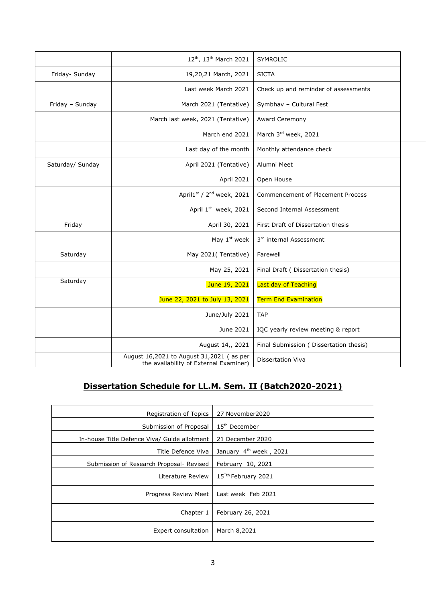|                  | 12 <sup>th</sup> , 13 <sup>th</sup> March 2021                                     | SYMROLIC                                |  |
|------------------|------------------------------------------------------------------------------------|-----------------------------------------|--|
| Friday- Sunday   | 19,20,21 March, 2021                                                               | <b>SICTA</b>                            |  |
|                  | Last week March 2021                                                               | Check up and reminder of assessments    |  |
| Friday - Sunday  | March 2021 (Tentative)                                                             | Symbhav - Cultural Fest                 |  |
|                  | March last week, 2021 (Tentative)                                                  | Award Ceremony                          |  |
|                  | March end 2021                                                                     | March 3rd week, 2021                    |  |
|                  | Last day of the month                                                              | Monthly attendance check                |  |
| Saturday/ Sunday | April 2021 (Tentative)                                                             | Alumni Meet                             |  |
|                  | April 2021                                                                         | Open House                              |  |
|                  | April1st / 2 <sup>nd</sup> week, 2021                                              | Commencement of Placement Process       |  |
|                  | April 1st week, 2021                                                               | Second Internal Assessment              |  |
| Friday           | April 30, 2021                                                                     | First Draft of Dissertation thesis      |  |
|                  | May 1 <sup>st</sup> week                                                           | 3rd internal Assessment                 |  |
| Saturday         | May 2021(Tentative)                                                                | Farewell                                |  |
|                  | May 25, 2021                                                                       | Final Draft ( Dissertation thesis)      |  |
| Saturday         | June 19, 2021                                                                      | Last day of Teaching                    |  |
|                  | June 22, 2021 to July 13, 2021                                                     | <b>Term End Examination</b>             |  |
|                  | June/July 2021                                                                     | <b>TAP</b>                              |  |
|                  | June 2021                                                                          | IQC yearly review meeting & report      |  |
|                  | August 14,, 2021                                                                   | Final Submission ( Dissertation thesis) |  |
|                  | August 16,2021 to August 31,2021 (as per<br>the availability of External Examiner) | <b>Dissertation Viva</b>                |  |

## **Dissertation Schedule for LL.M. Sem. II (Batch2020-2021)**

| Registration of Topics                       | 27 November2020                    |
|----------------------------------------------|------------------------------------|
| Submission of Proposal                       | $15th$ December                    |
| In-house Title Defence Viva/ Guide allotment | 21 December 2020                   |
| Title Defence Viva                           | January 4 <sup>th</sup> week, 2021 |
| Submission of Research Proposal- Revised     | February 10, 2021                  |
| Literature Review                            | 15 <sup>Tth</sup> February 2021    |
| Progress Review Meet                         | Last week Feb 2021                 |
| Chapter 1                                    | February 26, 2021                  |
| Expert consultation                          | March 8,2021                       |